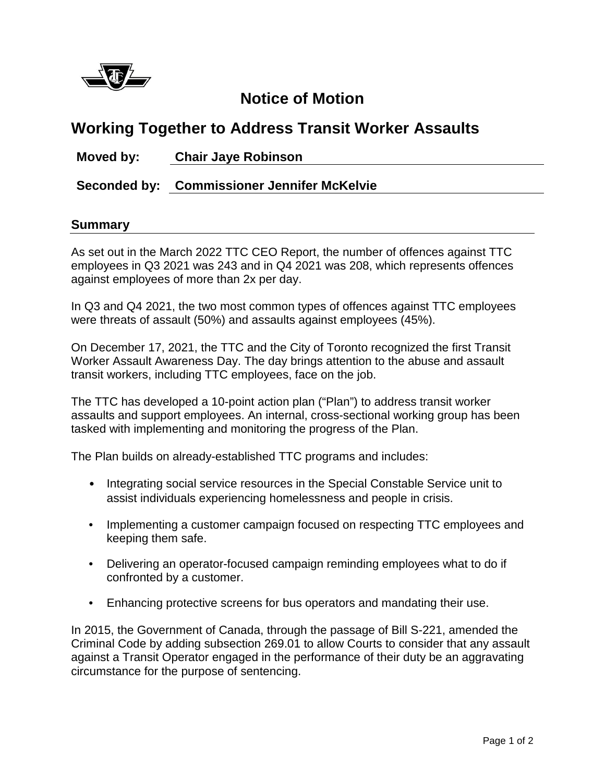

## **Notice of Motion**

## **Working Together to Address Transit Worker Assaults**

**Moved by: Chair Jaye Robinson**

**Seconded by: Commissioner Jennifer McKelvie**

## **Summary**

As set out in the March 2022 TTC CEO Report, the number of offences against TTC employees in Q3 2021 was 243 and in Q4 2021 was 208, which represents offences against employees of more than 2x per day.

In Q3 and Q4 2021, the two most common types of offences against TTC employees were threats of assault (50%) and assaults against employees (45%).

On December 17, 2021, the TTC and the City of Toronto recognized the first Transit Worker Assault Awareness Day. The day brings attention to the abuse and assault transit workers, including TTC employees, face on the job.

The TTC has developed a 10-point action plan ("Plan") to address transit worker assaults and support employees. An internal, cross-sectional working group has been tasked with implementing and monitoring the progress of the Plan.

The Plan builds on already-established TTC programs and includes:

- Integrating social service resources in the Special Constable Service unit to assist individuals experiencing homelessness and people in crisis.
- Implementing a customer campaign focused on respecting TTC employees and keeping them safe.
- Delivering an operator-focused campaign reminding employees what to do if confronted by a customer.
- Enhancing protective screens for bus operators and mandating their use.

In 2015, the Government of Canada, through the passage of Bill S-221, amended the Criminal Code by adding subsection 269.01 to allow Courts to consider that any assault against a Transit Operator engaged in the performance of their duty be an aggravating circumstance for the purpose of sentencing.